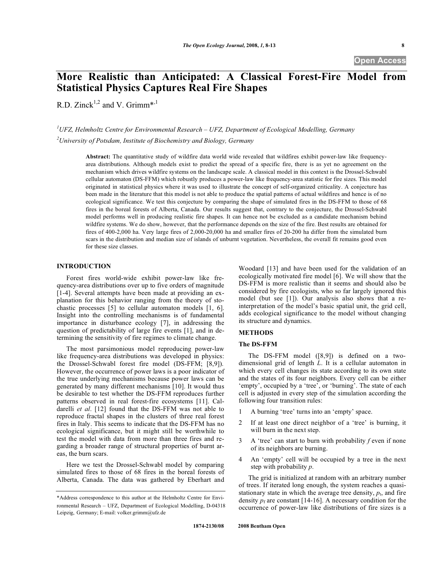# **More Realistic than Anticipated: A Classical Forest-Fire Model from Statistical Physics Captures Real Fire Shapes**

R.D. Zinck<sup>1,2</sup> and V. Grimm<sup>\*,1</sup>

*1 UFZ, Helmholtz Centre for Environmental Research – UFZ, Department of Ecological Modelling, Germany 2 University of Potsdam, Institute of Biochemistry and Biology, Germany* 

**Abstract:** The quantitative study of wildfire data world wide revealed that wildfires exhibit power-law like frequencyarea distributions. Although models exist to predict the spread of a specific fire, there is as yet no agreement on the mechanism which drives wildfire systems on the landscape scale. A classical model in this context is the Drossel-Schwabl cellular automaton (DS-FFM) which robustly produces a power-law like frequency-area statistic for fire sizes. This model originated in statistical physics where it was used to illustrate the concept of self-organized criticality. A conjecture has been made in the literature that this model is not able to produce the spatial patterns of actual wildfires and hence is of no ecological significance. We test this conjecture by comparing the shape of simulated fires in the DS-FFM to those of 68 fires in the boreal forests of Alberta, Canada. Our results suggest that, contrary to the conjecture, the Drossel-Schwabl model performs well in producing realistic fire shapes. It can hence not be excluded as a candidate mechanism behind wildfire systems. We do show, however, that the performance depends on the size of the fire. Best results are obtained for fires of 400-2,000 ha. Very large fires of 2,000-20,000 ha and smaller fires of 20-200 ha differ from the simulated burn scars in the distribution and median size of islands of unburnt vegetation. Nevertheless, the overall fit remains good even for these size classes.

# **INTRODUCTION**

Forest fires world-wide exhibit power-law like frequency-area distributions over up to five orders of magnitude [1-4]. Several attempts have been made at providing an explanation for this behavior ranging from the theory of stochastic processes [5] to cellular automaton models [1, 6]. Insight into the controlling mechanisms is of fundamental importance in disturbance ecology [7], in addressing the question of predictability of large fire events [1], and in determining the sensitivity of fire regimes to climate change.

The most parsimonious model reproducing power-law like frequency-area distributions was developed in physics: the Drossel-Schwabl forest fire model (DS-FFM; [8,9]). However, the occurrence of power laws is a poor indicator of the true underlying mechanisms because power laws can be generated by many different mechanisms [10]. It would thus be desirable to test whether the DS-FFM reproduces further patterns observed in real forest-fire ecosystems [11]. Caldarelli *et al*. [12] found that the DS-FFM was not able to reproduce fractal shapes in the clusters of three real forest fires in Italy. This seems to indicate that the DS-FFM has no ecological significance, but it might still be worthwhile to test the model with data from more than three fires and regarding a broader range of structural properties of burnt areas, the burn scars.

Here we test the Drossel-Schwabl model by comparing simulated fires to those of 68 fires in the boreal forests of Alberta, Canada. The data was gathered by Eberhart and Woodard [13] and have been used for the validation of an ecologically motivated fire model [6]. We will show that the DS-FFM is more realistic than it seems and should also be considered by fire ecologists, who so far largely ignored this model (but see [1]). Our analysis also shows that a reinterpretation of the model's basic spatial unit, the grid cell, adds ecological significance to the model without changing its structure and dynamics.

#### **METHODS**

#### **The DS-FFM**

The DS-FFM model ([8,9]) is defined on a twodimensional grid of length *L*. It is a cellular automaton in which every cell changes its state according to its own state and the states of its four neighbors. Every cell can be either 'empty', occupied by a 'tree', or 'burning'. The state of each cell is adjusted in every step of the simulation according the following four transition rules:

- 1 A burning 'tree' turns into an 'empty' space.
- 2 If at least one direct neighbor of a 'tree' is burning, it will burn in the next step.
- 3 A 'tree' can start to burn with probability *f* even if none of its neighbors are burning.
- 4 An 'empty' cell will be occupied by a tree in the next step with probability *p*.

The grid is initialized at random with an arbitrary number of trees. If iterated long enough, the system reaches a quasistationary state in which the average tree density,  $p_t$ , and fire density  $p_f$  are constant [14-16]. A necessary condition for the occurrence of power-law like distributions of fire sizes is a

<sup>\*</sup>Address correspondence to this author at the Helmholtz Centre for Environmental Research – UFZ, Department of Ecological Modelling, D-04318 Leipzig, Germany; E-mail: volker.grimm@ufz.de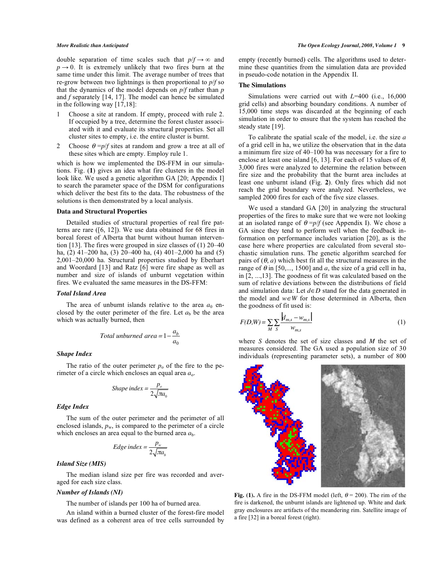double separation of time scales such that  $p/f \rightarrow \infty$  and  $p \rightarrow 0$ . It is extremely unlikely that two fires burn at the same time under this limit. The average number of trees that re-grow between two lightnings is then proportional to *p*/*f* so that the dynamics of the model depends on *p*/*f* rather than *p* and *f* separately [14, 17]. The model can hence be simulated in the following way [17,18]:

- 1 Choose a site at random. If empty, proceed with rule 2. If occupied by a tree, determine the forest cluster associated with it and evaluate its structural properties. Set all cluster sites to empty, i.e. the entire cluster is burnt.
- 2 Choose  $\theta = p/f$  sites at random and grow a tree at all of these sites which are empty. Employ rule 1.

which is how we implemented the DS-FFM in our simulations. Fig. (**1**) gives an idea what fire clusters in the model look like. We used a genetic algorithm GA [20; Appendix I] to search the parameter space of the DSM for configurations which deliver the best fits to the data. The robustness of the solutions is then demonstrated by a local analysis.

#### **Data and Structural Properties**

Detailed studies of structural properties of real fire patterns are rare ([6, 12]). We use data obtained for 68 fires in boreal forest of Alberta that burnt without human intervention [13]. The fires were grouped in size classes of (1) 20–40 ha, (2) 41–200 ha, (3) 20–400 ha, (4) 401–2,000 ha and (5) 2,001–20,000 ha. Structural properties studied by Eberhart and Woordard [13] and Ratz [6] were fire shape as well as number and size of islands of unburnt vegetation within fires. We evaluated the same measures in the DS-FFM:

#### *Total Island Area*

The area of unburnt islands relative to the area  $a_0$  enclosed by the outer perimeter of the fire. Let  $a<sub>b</sub>$  be the area which was actually burned, then

$$
Total unburned \ area = 1 - \frac{a_b}{a_0}
$$

# *Shape Index*

The ratio of the outer perimeter  $p_0$  of the fire to the perimeter of a circle which encloses an equal area *a*o*.*

*Shape index* = 
$$
\frac{p_o}{2\sqrt{\pi a_0}}
$$

#### *Edge Index*

The sum of the outer perimeter and the perimeter of all enclosed islands,  $p_w$ , is compared to the perimeter of a circle which encloses an area equal to the burned area *a*b.

$$
Edge\ index = \frac{p_w}{2\sqrt{\pi a_b}}
$$

# *Island Size (MIS)*

The median island size per fire was recorded and averaged for each size class.

# *Number of Islands (NI)*

The number of islands per 100 ha of burned area.

An island within a burned cluster of the forest-fire model was defined as a coherent area of tree cells surrounded by empty (recently burned) cells. The algorithms used to determine these quantities from the simulation data are provided in pseudo-code notation in the Appendix II.

## **The Simulations**

Simulations were carried out with *L*=400 (i.e., 16,000 grid cells) and absorbing boundary conditions. A number of 15,000 time steps was discarded at the beginning of each simulation in order to ensure that the system has reached the steady state [19].

To calibrate the spatial scale of the model, i.e. the size *a* of a grid cell in ha, we utilize the observation that in the data a minimum fire size of 40–100 ha was necessary for a fire to enclose at least one island [6, 13]. For each of 15 values of  $\theta$ , 3,000 fires were analyzed to determine the relation between fire size and the probability that the burnt area includes at least one unburnt island (Fig. **2**). Only fires which did not reach the grid boundary were analyzed. Nevertheless, we sampled 2000 fires for each of the five size classes.

We used a standard GA [20] in analyzing the structural properties of the fires to make sure that we were not looking at an isolated range of  $\theta = p/f$  (see Appendix I). We chose a GA since they tend to perform well when the feedback information on performance includes variation [20], as is the case here where properties are calculated from several stochastic simulation runs. The genetic algorithm searched for pairs of  $(\theta, a)$  which best fit all the structural measures in the range of  $\theta$  in [50,..., 1500] and *a*, the size of a grid cell in ha, in [2, ...,13]. The goodness of fit was calculated based on the sum of relative deviations between the distributions of field and simulation data: Let  $d \in D$  stand for the data generated in the model and  $w \in W$  for those determined in Alberta, then the goodness of fit used is:

$$
F(D,W) = \sum_{M} \sum_{S} \frac{|d_{m,s} - w_{m,s}|}{w_{m,s}}
$$
(1)

where *S* denotes the set of size classes and *M* the set of measures considered. The GA used a population size of 30 individuals (representing parameter sets), a number of 800



**Fig. (1).** A fire in the DS-FFM model (left,  $\theta = 200$ ). The rim of the fire is darkened, the unburnt islands are lightened up. White and dark gray enclosures are artifacts of the meandering rim. Satellite image of a fire [32] in a boreal forest (right).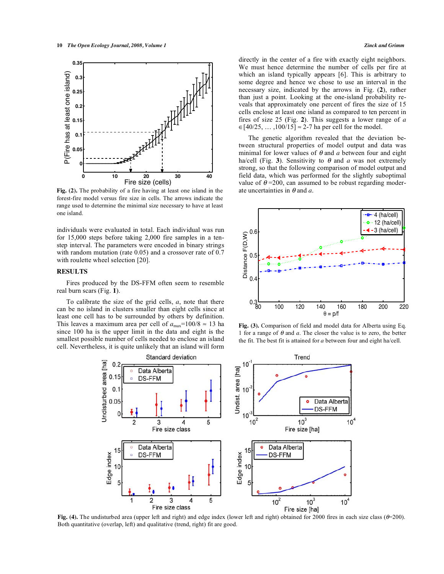

**Fig. (2).** The probability of a fire having at least one island in the forest-fire model versus fire size in cells. The arrows indicate the range used to determine the minimal size necessary to have at least one island.

individuals were evaluated in total. Each individual was run for 15,000 steps before taking 2,000 fire samples in a tenstep interval. The parameters were encoded in binary strings with random mutation (rate 0.05) and a crossover rate of 0.7 with roulette wheel selection [20].

# **RESULTS**

Fires produced by the DS-FFM often seem to resemble real burn scars (Fig. **1**).

To calibrate the size of the grid cells, *a*, note that there can be no island in clusters smaller than eight cells since at least one cell has to be surrounded by others by definition. This leaves a maximum area per cell of  $a_{\text{max}}$ =100/8  $\approx$  13 ha since 100 ha is the upper limit in the data and eight is the smallest possible number of cells needed to enclose an island cell. Nevertheless, it is quite unlikely that an island will form directly in the center of a fire with exactly eight neighbors. We must hence determine the number of cells per fire at which an island typically appears [6]. This is arbitrary to some degree and hence we chose to use an interval in the necessary size, indicated by the arrows in Fig. (**2**), rather than just a point. Looking at the one-island probability reveals that approximately one percent of fires the size of 15 cells enclose at least one island as compared to ten percent in fires of size 25 (Fig. **2**). This suggests a lower range of *a*  $\in [40/25, \dots, 100/15] \approx 2-7$  ha per cell for the model.

The genetic algorithm revealed that the deviation between structural properties of model output and data was minimal for lower values of  $\theta$  and  $\alpha$  between four and eight ha/cell (Fig. 3). Sensitivity to  $\theta$  and *a* was not extremely strong, so that the following comparison of model output and field data, which was performed for the slightly suboptimal value of  $\theta$  =200, can assumed to be robust regarding moderate uncertainties in  $\theta$  and  $a$ .



**Fig. (3).** Comparison of field and model data for Alberta using Eq. 1 for a range of  $\theta$  and *a*. The closer the value is to zero, the better the fit. The best fit is attained for *a* between four and eight ha/cell.



Fig. (4). The undisturbed area (upper left and right) and edge index (lower left and right) obtained for 2000 fires in each size class ( $\theta$ =200). Both quantitative (overlap, left) and qualitative (trend, right) fit are good.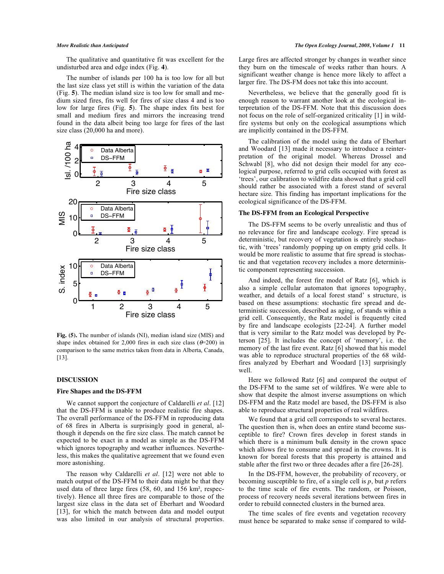The qualitative and quantitative fit was excellent for the undisturbed area and edge index (Fig. **4**).

The number of islands per 100 ha is too low for all but the last size class yet still is within the variation of the data (Fig. **5**). The median island size is too low for small and medium sized fires, fits well for fires of size class 4 and is too low for large fires (Fig. **5**). The shape index fits best for small and medium fires and mirrors the increasing trend found in the data albeit being too large for fires of the last size class (20,000 ha and more).



**Fig. (5).** The number of islands (NI), median island size (MIS) and shape index obtained for 2,000 fires in each size class ( $\theta$ =200) in comparison to the same metrics taken from data in Alberta, Canada, [13].

# **DISCUSSION**

# **Fire Shapes and the DS-FFM**

We cannot support the conjecture of Caldarelli *et al*. [12] that the DS-FFM is unable to produce realistic fire shapes. The overall performance of the DS-FFM in reproducing data of 68 fires in Alberta is surprisingly good in general, although it depends on the fire size class. The match cannot be expected to be exact in a model as simple as the DS-FFM which ignores topography and weather influences. Nevertheless, this makes the qualitative agreement that we found even more astonishing.

The reason why Caldarelli *et al*. [12] were not able to match output of the DS-FFM to their data might be that they used data of three large fires  $(58, 60,$  and  $156 \text{ km}^2$ , respectively). Hence all three fires are comparable to those of the largest size class in the data set of Eberhart and Woodard [13], for which the match between data and model output was also limited in our analysis of structural properties. Large fires are affected stronger by changes in weather since they burn on the timescale of weeks rather than hours. A significant weather change is hence more likely to affect a larger fire. The DS-FM does not take this into account.

Nevertheless, we believe that the generally good fit is enough reason to warrant another look at the ecological interpretation of the DS-FFM. Note that this discussion does not focus on the role of self-organized criticality [1] in wildfire systems but only on the ecological assumptions which are implicitly contained in the DS-FFM.

The calibration of the model using the data of Eberhart and Woodard [13] made it necessary to introduce a reinterpretation of the original model. Whereas Drossel and Schwabl [8], who did not design their model for any ecological purpose, referred to grid cells occupied with forest as 'trees', our calibration to wildfire data showed that a grid cell should rather be associated with a forest stand of several hectare size. This finding has important implications for the ecological significance of the DS-FFM.

#### **The DS-FFM from an Ecological Perspective**

The DS-FFM seems to be overly unrealistic and thus of no relevance for fire and landscape ecology. Fire spread is deterministic, but recovery of vegetation is entirely stochastic, with 'trees' randomly popping up on empty grid cells. It would be more realistic to assume that fire spread is stochastic and that vegetation recovery includes a more deterministic component representing succession.

And indeed, the forest fire model of Ratz [6], which is also a simple cellular automaton that ignores topography, weather, and details of a local forest stand' s structure, is based on these assumptions: stochastic fire spread and deterministic succession, described as aging, of stands within a grid cell. Consequently, the Ratz model is frequently cited by fire and landscape ecologists [22-24]. A further model that is very similar to the Ratz model was developed by Peterson [25]. It includes the concept of 'memory', i.e. the memory of the last fire event. Ratz [6] showed that his model was able to reproduce structural properties of the 68 wildfires analyzed by Eberhart and Woodard [13] surprisingly well.

Here we followed Ratz [6] and compared the output of the DS-FFM to the same set of wildfires. We were able to show that despite the almost inverse assumptions on which DS-FFM and the Ratz model are based, the DS-FFM is also able to reproduce structural properties of real wildfires.

We found that a grid cell corresponds to several hectares. The question then is, when does an entire stand become susceptible to fire? Crown fires develop in forest stands in which there is a minimum bulk density in the crown space which allows fire to consume and spread in the crowns. It is known for boreal forests that this property is attained and stable after the first two or three decades after a fire [26-28].

In the DS-FFM, however, the probability of recovery, or becoming susceptible to fire, of a single cell is *p*, but *p* refers to the time scale of fire events. The random, or Poisson, process of recovery needs several iterations between fires in order to rebuild connected clusters in the burned area.

The time scales of fire events and vegetation recovery must hence be separated to make sense if compared to wild-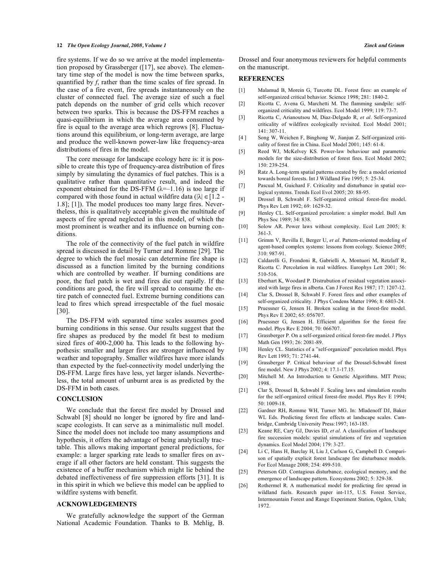#### **12** *The Open Ecology Journal, 2008, Volume 1 Zinck and Grimm*

fire systems. If we do so we arrive at the model implementation proposed by Grassberger ([17], see above). The elementary time step of the model is now the time between sparks, quantified by *f*, rather than the time scales of fire spread. In the case of a fire event, fire spreads instantaneously on the cluster of connected fuel. The average size of such a fuel patch depends on the number of grid cells which recover between two sparks. This is because the DS-FFM reaches a quasi-equilibrium in which the average area consumed by fire is equal to the average area which regrows [8]. Fluctuations around this equilibrium, or long-term average, are large and produce the well-known power-law like frequency-area distributions of fires in the model.

The core message for landscape ecology here is: it is possible to create this type of frequency-area distribution of fires simply by simulating the dynamics of fuel patches. This is a qualitative rather than quantitative result, and indeed the exponent obtained for the DS-FFM  $(\lambda=1.16)$  is too large if compared with those found in actual wildfire data ( $|\lambda| \in [1, 2 - 1]$ 1.8]; [1]). The model produces too many large fires. Nevertheless, this is qualitatively acceptable given the multitude of aspects of fire spread neglected in this model, of which the most prominent is weather and its influence on burning conditions.

The role of the connectivity of the fuel patch in wildfire spread is discussed in detail by Turner and Romme [29]. The degree to which the fuel mosaic can determine fire shape is discussed as a function limited by the burning conditions which are controlled by weather. If burning conditions are poor, the fuel patch is wet and fires die out rapidly. If the conditions are good, the fire will spread to consume the entire patch of connected fuel. Extreme burning conditions can lead to fires which spread irrespectable of the fuel mosaic [30].

The DS-FFM with separated time scales assumes good burning conditions in this sense. Our results suggest that the fire shapes as produced by the model fit best to medium sized fires of 400-2,000 ha. This leads to the following hypothesis: smaller and larger fires are stronger influenced by weather and topography. Smaller wildfires have more islands than expected by the fuel-connectivity model underlying the DS-FFM. Large fires have less, yet larger islands. Nevertheless, the total amount of unburnt area is as predicted by the DS-FFM in both cases.

# **CONCLUSION**

We conclude that the forest fire model by Drossel and Schwabl [8] should no longer be ignored by fire and landscape ecologists. It can serve as a minimalistic null model. Since the model does not include too many assumptions and hypothesis, it offers the advantage of being analytically tractable. This allows making important general predictions, for example: a larger sparking rate leads to smaller fires on average if all other factors are held constant. This suggests the existence of a buffer mechanism which might lie behind the debated ineffectiveness of fire suppression efforts [31]. It is in this spirit in which we believe this model can be applied to wildfire systems with benefit.

#### **ACKNOWLEDGEMENTS**

We gratefully acknowledge the support of the German National Academic Foundation. Thanks to B. Mehlig, B. Drossel and four anonymous reviewers for helpful comments on the manuscript.

## **REFERENCES**

- [1] Malamud B, Morein G, Turcotte DL. Forest fires: an example of self-organized critical behavior. Science 1998; 281: 1840-2.
- [2] Ricotta C, Avena G, Marchetti M. The flamming sandpile: selforganized criticality and wildfires. Ecol Model 1999; 119: 73-7.
- [3] Ricotta C, Arianoutsou M, Diaz-Delgado R, *et al*. Self-organized criticality of wildfires ecologically revisited. Ecol Model 2001; 141: 307-11.
- [4 ] Song W, Weichen F, Binghong W, Jianjun Z. Self-organized criticality of forest fire in China. Ecol Model 2001; 145: 61-8.
- [5] Reed WJ, McKelvey KS. Power-law behaviour and parametric models for the size-distribution of forest fires. Ecol Model 2002; 150: 239-254.
- [6] Ratz A. Long-term spatial patterns created by fire: a model oriented towards boreal forests. Int J Wildland Fire 1995; 5: 25-34.
- [7] Pascual M, Guichard F. Criticality and disturbance in spatial ecological systems. Trends Ecol Evol 2005; 20: 88-95.
- [8] Drossel B, Schwabl F. Self-organized critical forest-fire model. Phys Rev Lett 1992; 69: 1629-32.
- [9] Henley CL. Self-organized percolation: a simpler model. Bull Am Phys Soc 1989; 34: 838.
- [10] Solow AR. Power laws without complexity. Ecol Lett 2005; 8: 361-3.
- [11] Grimm V, Revilla E, Berger U, *et al*. Pattern-oriented modeling of agent-based complex systems: lessons from ecology. Science 2005; 310: 987-91.
- [12] Caldarelli G, Frondoni R, Gabrielli A, Montuori M, Retzlaff R, Ricotta C. Percolation in real wildfires. Europhys Lett 2001; 56: 510-516.
- [13] Eberhart K, Woodard P. Distrubution of residual vegetation associated with large fires in alberta. Can J Forest Res 1987; 17: 1207-12.
- [14] Clar S, Drossel B, Schwabl F. Forest fires and other examples of self-organized criticality. J Phys Condens Matter 1996; 8: 6803-24.
- [15] Pruessner G, Jensen H. Broken scaling in the forest-fire model. Phys Rev E 2002; 65: 056707.
- [16] Pruessner G, Jensen H. Efficient algorithm for the forest fire model. Phys Rev E 2004; 70: 066707.
- [17] Grassberger P. On a self-organized critical forest-fire model. J Phys Math Gen 1993; 26: 2081-89.
- [18] Henley CL. Statistics of a "self-organized" percolation model. Phys Rev Lett 1993; 71: 2741-44.
- [19] Grassberger P. Critical behaviour of the Drossel-Schwabl forest fire model. New J Phys 2002; 4: 17.1-17.15.
- [20] Mitchell M. An Introduction to Genetic Algorithms. MIT Press; 1998.
- [21] Clar S, Drossel B, Schwabl F. Scaling laws and simulation results for the self-organized critical forest-fire model. Phys Rev E 1994; 50: 1009-18.
- [22] Gardner RH, Romme WH, Turner MG. In: Mladenoff DJ, Baker WL Eds. Predicting forest fire effects at landscape scales. Cambridge, Cambridg University Press:1997; 163-185.
- [23] Keane RE, Cary GJ, Davies ID, *et al*. A classification of landscape fire succession models: spatial simulations of fire and vegetation dynamics. Ecol Model 2004; 179: 3-27.
- [24] Li C, Hans H, Barclay H, Liu J, Carlson G, Campbell D. Comparison of spatially explicit forest landscape fire disturbance models. For Ecol Manage 2008; 254: 499-510.
- [25] Peterson GD. Contagious disturbance, ecological memory, and the emergence of landscape pattern. Ecosystems 2002; 5: 329-38.
- [26] Rothermel R. A mathematical model for predicting fire spread in wildland fuels. Research paper int-115, U.S. Forest Service, Intermountain Forest and Range Experiment Station, Ogden, Utah; 1972.